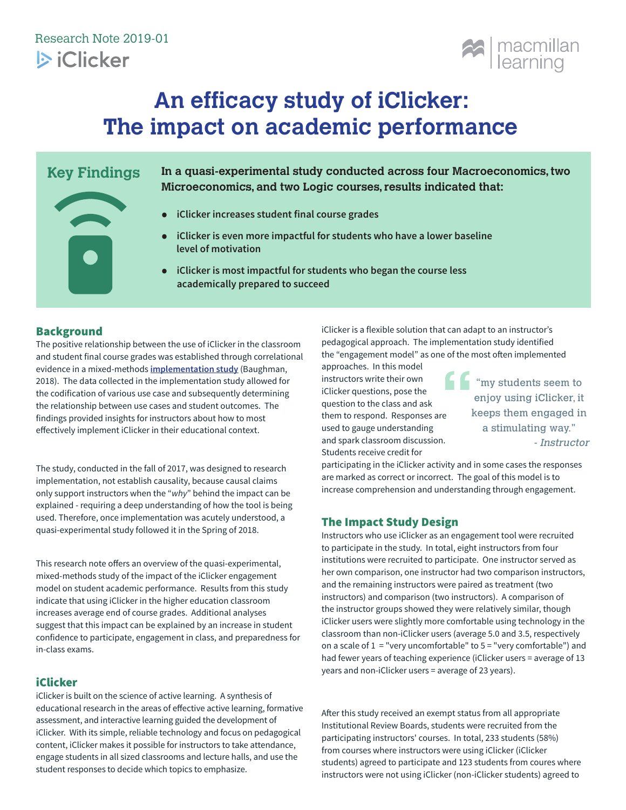

# **An efficacy study of iClicker: The impact on academic performance**

# **Key Findings**



**In a quasi-experimental study conducted across four Macroeconomics, two Microeconomics, and two Logic courses, results indicated that:**

- **iClicker increases student final course grades**
- **• iClicker is even more impactful for students who have a lower baseline level of motivation**
- **• iClicker is most impactful for students who began the course less academically prepared to succeed**

# Background

The positive relationship between the use of iClicker in the classroom and student final course grades was established through correlational evidence in a mixed-methods **implementation study** (Baughman, 2018). The data collected in the implementation study allowed for the codification of various use case and subsequently determining the relationship between use cases and student outcomes. The findings provided insights for instructors about how to most effectively implement iClicker in their educational context.

The study, conducted in the fall of 2017, was designed to research implementation, not establish causality, because causal claims only support instructors when the "*why*" behind the impact can be explained - requiring a deep understanding of how the tool is being used. Therefore, once implementation was acutely understood, a quasi-experimental study followed it in the Spring of 2018.

This research note offers an overview of the quasi-experimental, mixed-methods study of the impact of the iClicker engagement model on student academic performance. Results from this study indicate that using iClicker in the higher education classroom increases average end of course grades. Additional analyses suggest that this impact can be explained by an increase in student confidence to participate, engagement in class, and preparedness for in-class exams.

# **iClicker**

iClicker is built on the science of active learning. A synthesis of educational research in the areas of effective active learning, formative assessment, and interactive learning guided the development of iClicker. With its simple, reliable technology and focus on pedagogical content, iClicker makes it possible for instructors to take attendance, engage students in all sized classrooms and lecture halls, and use the student responses to decide which topics to emphasize.

iClicker is a flexible solution that can adapt to an instructor's pedagogical approach. The implementation study identified the "engagement model" as one of the most often implemented approaches. In this model

instructors write their own iClicker questions, pose the question to the class and ask them to respond. Responses are used to gauge understanding and spark classroom discussion. Students receive credit for

 $\blacksquare$  "my students seem to enjoy using iClicker, it keeps them engaged in a stimulating way." - Instructor

participating in the iClicker activity and in some cases the responses are marked as correct or incorrect. The goal of this model is to increase comprehension and understanding through engagement.

# The Impact Study Design

Instructors who use iClicker as an engagement tool were recruited to participate in the study. In total, eight instructors from four institutions were recruited to participate. One instructor served as her own comparison, one instructor had two comparison instructors, and the remaining instructors were paired as treatment (two instructors) and comparison (two instructors). A comparison of the instructor groups showed they were relatively similar, though iClicker users were slightly more comfortable using technology in the classroom than non-iClicker users (average 5.0 and 3.5, respectively on a scale of  $1 =$  "very uncomfortable" to  $5 =$  "very comfortable") and had fewer years of teaching experience (iClicker users = average of 13 years and non-iClicker users = average of 23 years).

After this study received an exempt status from all appropriate Institutional Review Boards, students were recruited from the participating instructors' courses. In total, 233 students (58%) from courses where instructors were using iClicker (iClicker students) agreed to participate and 123 students from coures where instructors were not using iClicker (non-iClicker students) agreed to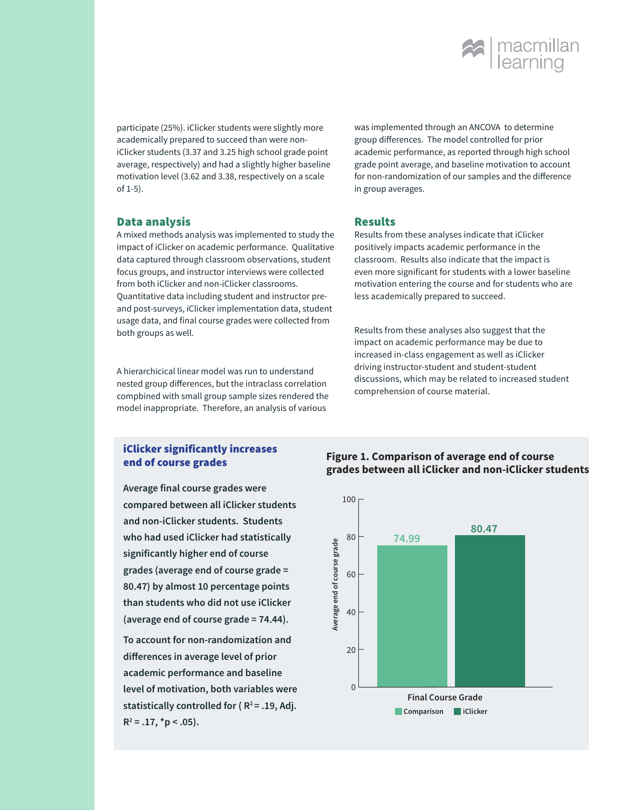

participate (25%). iClicker students were slightly more academically prepared to succeed than were noniClicker students (3.37 and 3.25 high school grade point average, respectively) and had a slightly higher baseline motivation level (3.62 and 3.38, respectively on a scale of 1-5).

#### Data analysis

A mixed methods analysis was implemented to study the impact of iClicker on academic performance. Qualitative data captured through classroom observations, student focus groups, and instructor interviews were collected from both iClicker and non-iClicker classrooms. Quantitative data including student and instructor preand post-surveys, iClicker implementation data, student usage data, and final course grades were collected from both groups as well.

A hierarchicical linear model was run to understand nested group differences, but the intraclass correlation compbined with small group sample sizes rendered the model inappropriate. Therefore, an analysis of various

was implemented through an ANCOVA to determine group differences. The model controlled for prior academic performance, as reported through high school grade point average, and baseline motivation to account for non-randomization of our samples and the difference in group averages.

#### Results

Results from these analyses indicate that iClicker positively impacts academic performance in the classroom. Results also indicate that the impact is even more significant for students with a lower baseline motivation entering the course and for students who are less academically prepared to succeed.

Results from these analyses also suggest that the impact on academic performance may be due to increased in-class engagement as well as iClicker driving instructor-student and student-student discussions, which may be related to increased student comprehension of course material.

#### iClicker significantly increases end of course grades

**Average final course grades were compared between all iClicker students and non-iClicker students. Students who had used iClicker had statistically significantly higher end of course grades (average end of course grade = 80.47) by almost 10 percentage points than students who did not use iClicker (average end of course grade = 74.44).** 

**To account for non-randomization and differences in average level of prior academic performance and baseline level of motivation, both variables were**  statistically controlled for ( $R^2$ = .19, Adj. **R2 = .17, \*p < .05).**

#### **Figure 1. Comparison of average end of course grades between all iClicker and non-iClicker students**

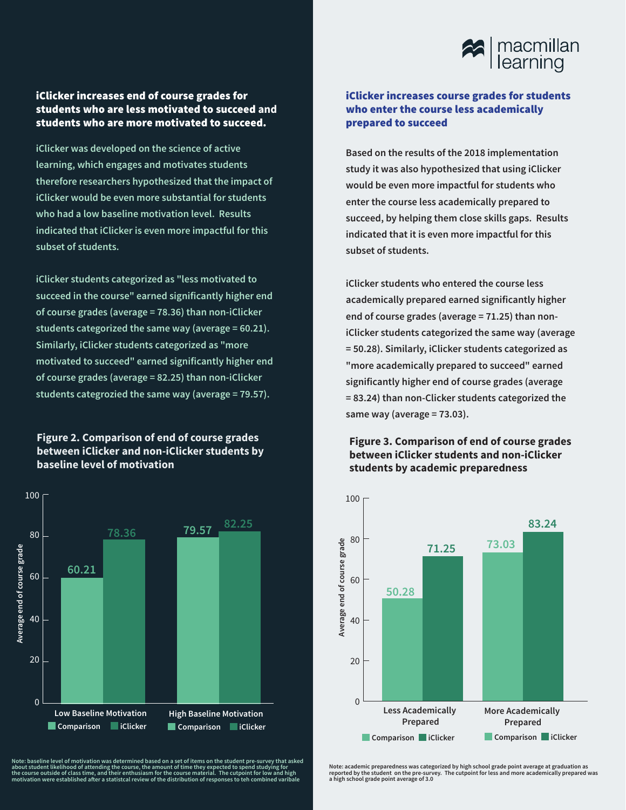

# iClicker increases end of course grades for students who are less motivated to succeed **and**  students who are more motivated to succeed.

**iClicker was developed on the science of active learning, which engages and motivates students therefore researchers hypothesized that the impact of iClicker would be even more substantial for students who had a low baseline motivation level. Results indicated that iClicker is even more impactful for this subset of students.**

**iClicker students categorized as "less motivated to succeed in the course" earned significantly higher end of course grades (average = 78.36) than non-iClicker students categorized the same way (average = 60.21). Similarly, iClicker students categorized as "more motivated to succeed" earned significantly higher end of course grades (average = 82.25) than non-iClicker students categrozied the same way (average = 79.57).**

#### **Figure 2. Comparison of end of course grades between iClicker and non-iClicker students by baseline level of motivation**



Note: baseline level of motivation was determined based on a set of items on the student pre-survey that asked<br>about student likelihood of attending the course, the amount of time they expected to spend studying for<br>the co

#### iClicker increases course grades for students who enter the course less academically prepared to succeed

**Based on the results of the 2018 implementation study it was also hypothesized that using iClicker would be even more impactful for students who enter the course less academically prepared to succeed, by helping them close skills gaps. Results indicated that it is even more impactful for this subset of students.**

**iClicker students who entered the course less academically prepared earned significantly higher end of course grades (average = 71.25) than noniClicker students categorized the same way (average = 50.28). Similarly, iClicker students categorized as "more academically prepared to succeed" earned significantly higher end of course grades (average = 83.24) than non-Clicker students categorized the same way (average = 73.03).**

### **Figure 3. Comparison of end of course grades between iClicker students and non-iClicker students by academic preparedness**



Note: academic preparedness was categorized by high school grade point average at graduation as<br>reported by the student on the pre-survey. The cutpoint for less and more academically prepared was<br>a high school grade point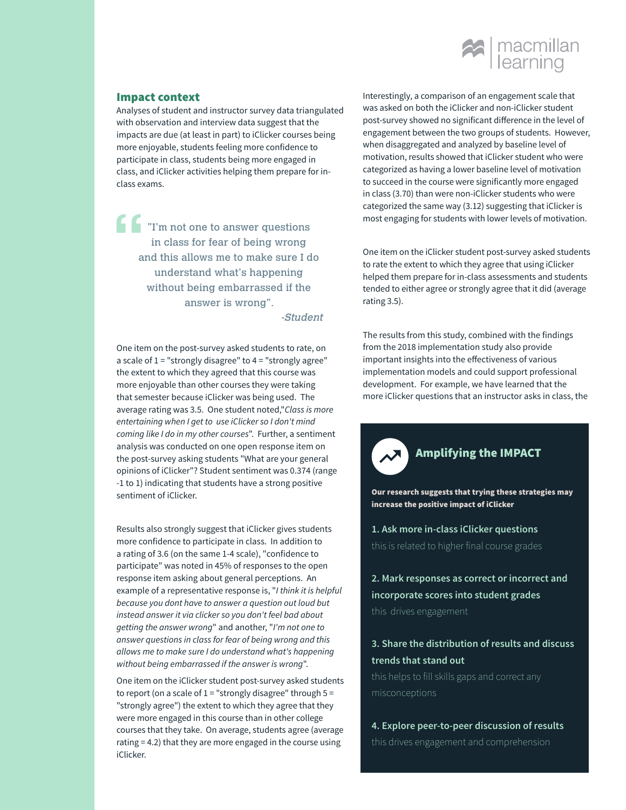

#### Impact context

Analyses of student and instructor survey data triangulated with observation and interview data suggest that the impacts are due (at least in part) to iClicker courses being more enjoyable, students feeling more confidence to participate in class, students being more engaged in class, and iClicker activities helping them prepare for inclass exams.

"I'm not one to answer questions in class for fear of being wrong and this allows me to make sure I do understand what's happening without being embarrassed if the answer is wrong".

-Student

One item on the post-survey asked students to rate, on a scale of  $1$  = "strongly disagree" to  $4$  = "strongly agree" the extent to which they agreed that this course was more enjoyable than other courses they were taking that semester because iClicker was being used. The average rating was 3.5. One student noted,"*Class is more entertaining when I get to use iClicker so I don't mind coming like I do in my other courses*". Further, a sentiment analysis was conducted on one open response item on the post-survey asking students "What are your general opinions of iClicker"? Student sentiment was 0.374 (range -1 to 1) indicating that students have a strong positive sentiment of iClicker.

Results also strongly suggest that iClicker gives students more confidence to participate in class. In addition to a rating of 3.6 (on the same 1-4 scale), "confidence to participate" was noted in 45% of responses to the open response item asking about general perceptions. An example of a representative response is, "*I think it is helpful because you dont have to answer a question out loud but instead answer it via clicker so you don't feel bad about getting the answer wrong*" and another, "*I'm not one to answer questions in class for fear of being wrong and this allows me to make sure I do understand what's happening without being embarrassed if the answer is wrong*".

One item on the iClicker student post-survey asked students to report (on a scale of  $1 =$  "strongly disagree" through  $5 =$ "strongly agree") the extent to which they agree that they were more engaged in this course than in other college courses that they take. On average, students agree (average rating = 4.2) that they are more engaged in the course using iClicker.

Interestingly, a comparison of an engagement scale that was asked on both the iClicker and non-iClicker student post-survey showed no significant difference in the level of engagement between the two groups of students. However, when disaggregated and analyzed by baseline level of motivation, results showed that iClicker student who were categorized as having a lower baseline level of motivation to succeed in the course were significantly more engaged in class (3.70) than were non-iClicker students who were categorized the same way (3.12) suggesting that iClicker is most engaging for students with lower levels of motivation.

One item on the iClicker student post-survey asked students to rate the extent to which they agree that using iClicker helped them prepare for in-class assessments and students tended to either agree or strongly agree that it did (average rating 3.5).

The results from this study, combined with the findings from the 2018 implementation study also provide important insights into the effectiveness of various implementation models and could support professional development. For example, we have learned that the more iClicker questions that an instructor asks in class, the

# AMPLIFYIng the IMPACT

Our research suggests that trying these strategies may increase the positive impact of iClicker

**1. Ask more in-class iClicker questions**  this is related to higher final course grades

**2. Mark responses as correct or incorrect and incorporate scores into student grades** this drives engagement

# **3. Share the distribution of results and discuss trends that stand out**

this helps to fill skills gaps and correct any misconceptions

**4. Explore peer-to-peer discussion of results** this drives engagement and comprehension